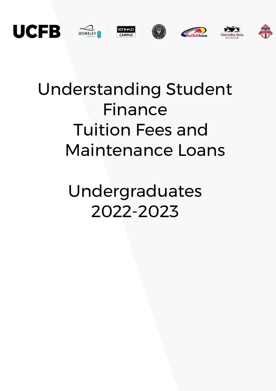

# Understanding Student Finance Tuition Fees and Maintenance Loans

Undergraduates 2022-2023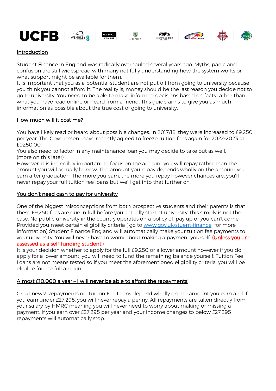













# Introduction

Student Finance in England was radically overhauled several years ago. Myths, panic and confusion are still widespread with many not fully understanding how the system works or what support might be available for them.

It is important that you as a potential student are not put off from going to university because you think you cannot afford it. The reality is, money should be the last reason you decide not to go to university. You need to be able to make informed decisions based on facts rather than what you have read online or heard from a friend. This guide aims to give you as much information as possible about the true cost of going to university.

# How much will it cost me?

You have likely read or heard about possible changes. In 2017/18, they were increased to £9,250 per year. The Government have recently agreed to freeze tuition fees again for 2022-2023 at £9250.00.

You also need to factor in any maintenance loan you may decide to take out as well. (more on this later)

However, it is incredibly important to focus on the amount you will repay rather than the amount you will actually borrow. The amount you repay depends wholly on the amount you earn after graduation. The more you earn, the more you repay however chances are, you'll never repay your full tuition fee loans but we'll get into that further on.

## You don't need cash to pay for university

One of the biggest misconceptions from both prospective students and their parents is that these £9,250 fees are due in full before you actually start at university; this simply is not the case. No public university in the country operates on a policy of 'pay up or you can't come'. Provided you meet certain eligibility criteria ( go to [www.gov.uk/stuent-finance](http://www.gov.uk/stuent-finance) for more information) Student Finance England will automatically make your tuition fee payments to your university. You will never have to worry about making a payment yourself. (Unless you are assessed as a self-funding student!)

It is your decision whether to apply for the full £9,250 or a lower amount however if you do apply for a lower amount, you will need to fund the remaining balance yourself. Tuition Fee Loans are not means tested so if you meet the aforementioned eligibility criteria, you will be eligible for the full amount.

## Almost £10,000 a year - I will never be able to afford the repayments!

Great news! Repayments on Tuition Fee Loans depend wholly on the amount you earn and if you earn under £27,295, you will never repay a penny. All repayments are taken directly from your salary by HMRC meaning you will never need to worry about making or missing a payment. If you earn over £27,295 per year and your income changes to below £27,295 repayments will automatically stop.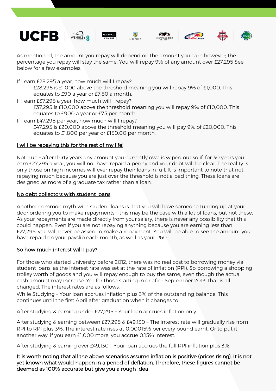











As mentioned, the amount you repay will depend on the amount you earn however; the percentage you repay will stay the same. You will repay 9% of any amount over £27,295 See below for a few examples:

If I earn £28,295 a year, how much will I repay?

£28,295 is £1,000 above the threshold meaning you will repay 9% of £1,000. This equates to £90 a year or £7.50 a month.

If I earn £37,295 a year, how much will I repay?

£37,295 is £10,000 above the threshold meaning you will repay 9% of £10,000. This equates to £900 a year or £75 per month

If I earn £47,295 per year, how much will I repay? £47,295 is £20,000 above the threshold meaning you will pay 9% of £20,000. This equates to £1,800 per year or £150.00 per month.

# I will be repaying this for the rest of my life!

Not true – after thirty years any amount you currently owe is wiped out so if, for 30 years you earn £27,295 a year, you will not have repaid a penny and your debt will be clear. The reality is only those on high incomes will ever repay their loans in full. It is important to note that not repaying much because you are just over the threshold is not a bad thing. These loans are designed as more of a graduate tax rather than a loan.

# No debt collectors with student loans

Another common myth with student loans is that you will have someone turning up at your door ordering you to make repayments – this may be the case with a lot of loans, but not these. As your repayments are made directly from your salary, there is never any possibility that this could happen. Even if you are not repaying anything because you are earning less than £27,295, you will never be asked to make a repayment. You will be able to see the amount you have repaid on your payslip each month, as well as your P60.

# So how much interest will I pay?

For those who started university before 2012, there was no real cost to borrowing money via student loans, as the interest rate was set at the rate of inflation (RPI). So borrowing a shopping trolley worth of goods and you will repay enough to buy the same, even though the actual cash amount may increase. Yet for those starting in or after September 2013, that is all changed. The interest rates are as follows:

While Studying – Your loan accrues inflation plus 3% of the outstanding balance. This continues until the first April after graduation when it changes to

After studying & earning under £27,295 – Your loan accrues inflation only.

After studying & earning between £27,295 & £49,130 – The interest rate will gradually rise from RPI to RPI plus 3%. The interest rate rises at 0.00015% per every pound earnt. Or to put it another way, if you earn £1,000 more, you accrue 0.15% interest.

After studying & earning over £49,130 – Your loan accrues the full RPI inflation plus 3%.

It is worth noting that all the above scenarios assume inflation is positive (prices rising). It is not yet known what would happen in a period of deflation. Therefore, these figures cannot be deemed as 100% accurate but give you a rough idea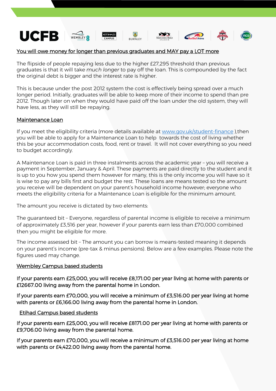

## You will owe money for longer than previous graduates and MAY pay a LOT more

The flipside of people repaying less due to the higher £27,295 threshold than previous graduates is that it will take *much longer* to pay off the loan. This is compounded by the fact the original debt is bigger and the interest rate is higher.

This is because under the post 2012 system the cost is effectively being spread over a much longer period. Initially, graduates will be able to keep more of their income to spend than pre 2012. Though later on when they would have paid off the loan under the old system, they will have less, as they will still be repaying.

### Maintenance Loan

If you meet the eligibility criteria (more details available at [www.gov.uk/student-finance](http://www.gov.uk/student-finance) ),then you will be able to apply for a Maintenance Loan to help towards the cost of living whether this be your accommodation costs, food, rent or travel. It will not cover everything so you need to budget accordingly.

A Maintenance Loan is paid in three instalments across the academic year – you will receive a payment in September, January & April. These payments are paid directly to the student and it is up to you how you spend them however for many, this is the only income you will have so it is wise to pay any bills first and budget the rest. These loans are means tested so the amount you receive will be dependent on your parent's household income however; everyone who meets the eligibility criteria for a Maintenance Loan is eligible for the minimum amount.

The amount you receive is dictated by two elements:

The guaranteed bit – Everyone, regardless of parental income is eligible to receive a minimum of approximately £3,516 per year, however if your parents earn less than £70,000 combined then you might be eligible for more.

The income assessed bit – The amount you can borrow is means-tested meaning it depends on your parent's income (pre-tax & minus pensions). Below are a few examples. Please note the figures used may change.

#### Wembley Campus based students

If your parents earn £25,000, you will receive £8,171.00 per year living at home with parents or £12667.00 living away from the parental home in London.

If your parents earn £70,000, you will receive a minimum of £3,516.00 per year living at home with parents or £6,166.00 living away from the parental home in London.

#### Etihad Campus based students

If your parents earn £25,000, you will receive £8171.00 per year living at home with parents or £9,706.00 living away from the parental home.

If your parents earn £70,000, you will receive a minimum of £3,516.00 per year living at home with parents or £4,422.00 living away from the parental home.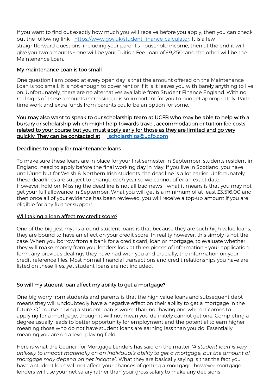If you want to find out exactly how much you will receive before you apply, then you can check out the following link - [https://www.gov.uk/student-finance-calculator.](https://www.gov.uk/student-finance-calculator) It is a few straightforward questions, including your parent's household income, then at the end it will give you two amounts – one will be your Tuition Fee Loan of £9,250, and the other will be the Maintenance Loan.

# My maintenance Loan is too small

One question I am posed at every open day is that the amount offered on the Maintenance Loan is too small. It is not enough to cover rent or if it is it leaves you with barely anything to live on. Unfortunately, there are no alternatives available from Student Finance England. With no real signs of these amounts increasing, it is so important for you to budget appropriately. Parttime work and extra funds from parents could be an option for some.

You may also want to speak to our scholarship team at UCFB who may be able to help with a bursary or scholarship which might help towards travel, accommodation or tuition fee costs related to your course but you must apply early for those as they are limited and go very quickly. They can be contacted at scholarships@ucfb.com

## Deadlines to apply for maintenance loans

To make sure these loans are in place for your first semester in September, students resident in England, need to apply before the final working day in May. If you live in Scotland, you have until June but for Welsh & Northern Irish students, the deadline is a lot earlier. Unfortunately, these deadlines are subject to change each year so we cannot offer an exact date. However, hold on! Missing the deadline is not all bad news – what it means is that you may not get your full allowance in September. What you will get is a minimum of at least £3,516.00 and then once all of your evidence has been reviewed, you will receive a top-up amount if you are eligible for any further support.

## Will taking a loan affect my credit score?

One of the biggest myths around student loans is that because they are such high value loans, they are bound to have an effect on your credit score. In reality however, this simply is not the case. When you borrow from a bank for a credit card, loan or mortgage, to evaluate whether they will make money from you, lenders look at three pieces of information – your application form, any previous dealings they have had with you and crucially, the information on your credit reference files. Most normal financial transactions and credit relationships you have are listed on these files, yet student loans are not included.

# So will my student loan affect my ability to get a mortgage?

One big worry from students and parents is that the high value loans and subsequent debt means they will undoubtedly have a negative effect on their ability to get a mortgage in the future. Of course having a student loan is worse than not having one when it comes to applying for a mortgage, though it will not mean you definitely cannot get one. Completing a degree usually leads to better opportunity for employment and the potential to earn higher meaning those who do not have student loans are earning less than you do. Essentially meaning you are on a level playing field.

Here is what the Council for Mortgage Lenders has said on the matter *"A student loan is very unlikely to impact materially on an individual's ability to get a mortgage, but the amount of mortgage may depend on net income".* What they are basically saying is that the fact you have a student loan will not affect your chances of getting a mortgage, however mortgage lenders will use your net salary rather than your gross salary to make any decisions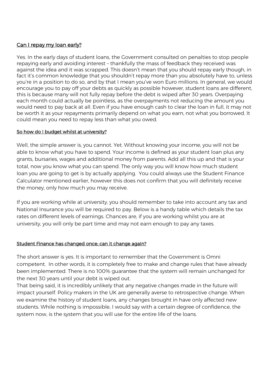# Can I repay my loan early?

Yes. In the early days of student loans, the Government consulted on penalties to stop people repaying early and avoiding interest – thankfully the mass of feedback they received was against the idea and it was scrapped. This doesn't mean that you should repay early though, in fact it's common knowledge that you shouldn't repay more than you absolutely have to, unless you're in a position to do so, and by that I mean you've won Euro millions. In general, we would encourage you to pay off your debts as quickly as possible however, student loans are different, this is because many will not fully repay before the debt is wiped after 30 years. Overpaying each month could actually be pointless, as the overpayments not reducing the amount you would need to pay back at all. Even if you have enough cash to clear the loan in full, it may not be worth it as your repayments primarily depend on what you earn, not what you borrowed. It could mean you need to repay less than what you owed.

## So how do I budget whilst at university?

Well, the simple answer is, you cannot. Yet. Without knowing your income, you will not be able to know what you have to spend. Your income is defined as your student loan plus any grants, bursaries, wages and additional money from parents. Add all this up and that is your total, now you know what you can spend. The only way you will know how much student loan you are going to get is by actually applying. You could always use the Student Finance Calculator mentioned earlier, however this does not confirm that you will definitely receive the money, only how much you may receive.

If you are working while at university, you should remember to take into account any tax and National Insurance you will be required to pay. Below is a handy table which details the tax rates on different levels of earnings. Chances are, if you are working whilst you are at university, you will only be part time and may not earn enough to pay any taxes.

## Student Finance has changed once; can it change again?

The short answer is yes. It is important to remember that the Government is Omni competent. In other words, it is completely free to make and change rules that have already been implemented. There is no 100% guarantee that the system will remain unchanged for the next 30 years until your debt is wiped out.

That being said, it is incredibly unlikely that any negative changes made in the future will impact yourself. Policy makers in the UK are generally averse to retrospective change. When we examine the history of student loans, any changes brought in have only affected new students. While nothing is impossible, I would say with a certain degree of confidence, the system now, is the system that you will use for the entire life of the loans.